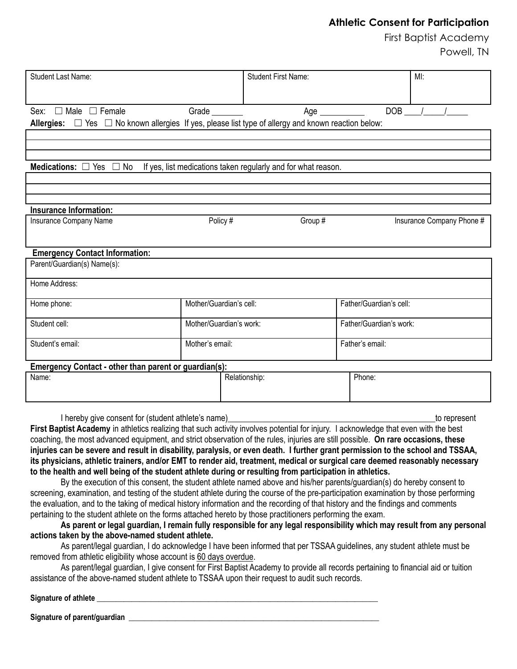## **Athletic Consent for Participation**

First Baptist Academy Powell, TN

| <b>Student Last Name:</b>                                                                                     |                         | <b>Student First Name:</b> |                         | MI:                       |
|---------------------------------------------------------------------------------------------------------------|-------------------------|----------------------------|-------------------------|---------------------------|
|                                                                                                               |                         |                            |                         |                           |
|                                                                                                               |                         |                            |                         |                           |
| Sex: □ Male □ Female                                                                                          | Grade ________          | Age ___________            |                         | $DOB$ / /                 |
| Allergies: $\Box$ Yes $\Box$ No known allergies If yes, please list type of allergy and known reaction below: |                         |                            |                         |                           |
|                                                                                                               |                         |                            |                         |                           |
|                                                                                                               |                         |                            |                         |                           |
|                                                                                                               |                         |                            |                         |                           |
| Medications: $\square$<br>No<br>If yes, list medications taken regularly and for what reason.<br>Yes $\Box$   |                         |                            |                         |                           |
|                                                                                                               |                         |                            |                         |                           |
|                                                                                                               |                         |                            |                         |                           |
|                                                                                                               |                         |                            |                         |                           |
| <b>Insurance Information:</b>                                                                                 |                         |                            |                         |                           |
| Insurance Company Name                                                                                        | Policy #                | Group #                    |                         | Insurance Company Phone # |
|                                                                                                               |                         |                            |                         |                           |
|                                                                                                               |                         |                            |                         |                           |
| <b>Emergency Contact Information:</b>                                                                         |                         |                            |                         |                           |
| Parent/Guardian(s) Name(s):                                                                                   |                         |                            |                         |                           |
| Home Address:                                                                                                 |                         |                            |                         |                           |
|                                                                                                               |                         |                            |                         |                           |
| Home phone:                                                                                                   | Mother/Guardian's cell: |                            | Father/Guardian's cell: |                           |
|                                                                                                               |                         |                            |                         |                           |
| Student cell:                                                                                                 | Mother/Guardian's work: |                            | Father/Guardian's work: |                           |
| Student's email:                                                                                              | Mother's email:         |                            | Father's email:         |                           |
|                                                                                                               |                         |                            |                         |                           |
| Emergency Contact - other than parent or guardian(s):                                                         |                         |                            |                         |                           |
| Name:                                                                                                         |                         | Relationship:              | Phone:                  |                           |
|                                                                                                               |                         |                            |                         |                           |
|                                                                                                               |                         |                            |                         |                           |
|                                                                                                               |                         |                            |                         |                           |
| I hereby give consent for (student athlete's name)<br>to represent                                            |                         |                            |                         |                           |

**First Baptist Academy** in athletics realizing that such activity involves potential for injury. I acknowledge that even with the best coaching, the most advanced equipment, and strict observation of the rules, injuries are still possible. **On rare occasions, these injuries can be severe and result in disability, paralysis, or even death. I further grant permission to the school and TSSAA, its physicians, athletic trainers, and/or EMT to render aid, treatment, medical or surgical care deemed reasonably necessary to the health and well being of the student athlete during or resulting from participation in athletics.**

By the execution of this consent, the student athlete named above and his/her parents/guardian(s) do hereby consent to screening, examination, and testing of the student athlete during the course of the pre-participation examination by those performing the evaluation, and to the taking of medical history information and the recording of that history and the findings and comments pertaining to the student athlete on the forms attached hereto by those practitioners performing the exam.

**As parent or legal guardian, I remain fully responsible for any legal responsibility which may result from any personal actions taken by the above-named student athlete.**

As parent/legal guardian, I do acknowledge I have been informed that per TSSAA guidelines, any student athlete must be removed from athletic eligibility whose account is 60 days overdue.

As parent/legal guardian, I give consent for First Baptist Academy to provide all records pertaining to financial aid or tuition assistance of the above-named student athlete to TSSAA upon their request to audit such records.

## **Signature of athlete \_\_\_\_\_\_\_\_\_\_\_\_\_\_\_\_\_\_\_\_\_\_\_\_\_\_\_\_\_\_\_\_\_\_\_\_\_\_\_\_\_\_\_\_\_\_\_\_\_\_\_\_\_\_\_\_\_\_\_\_\_\_\_\_\_\_\_\_\_\_\_\_\_**

Signature of parent/guardian **the set of the set of parents of parents**  $\mathbf{S}$  is a set of parents of  $\mathbf{S}$  is a set of  $\mathbf{S}$  is a set of parent  $\mathbf{S}$  is a set of  $\mathbf{S}$  is a set of  $\mathbf{S}$  is a set of  $\mathbf{S$